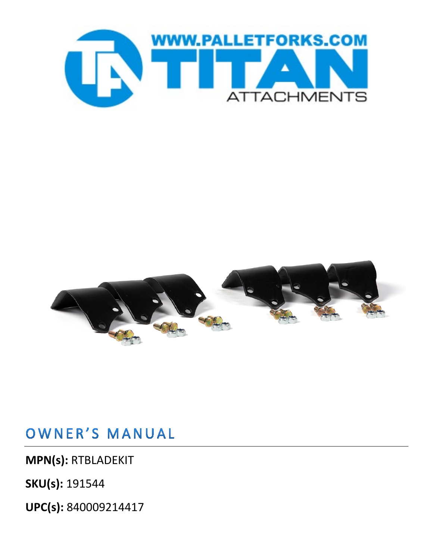



### OWNER'S MANUAL

**MPN(s):** RTBLADEKIT

**SKU(s):** 191544

**UPC(s):** 840009214417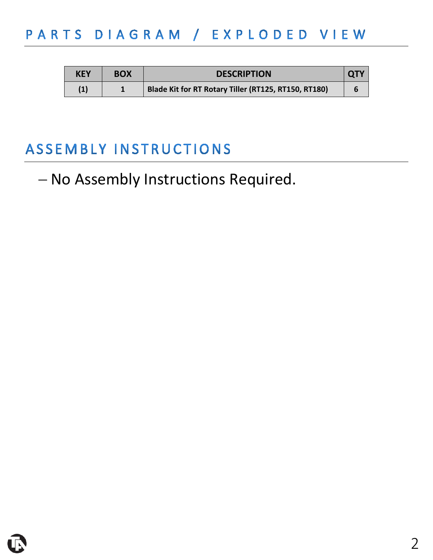## PARTS DIAGRAM / EXPLODED VIEW

| <b>KEY</b> | <b>BOX</b> | <b>DESCRIPTION</b>                                   |  |
|------------|------------|------------------------------------------------------|--|
| (1)        |            | Blade Kit for RT Rotary Tiller (RT125, RT150, RT180) |  |

## ASSEMBLY INSTRUCTIONS

## − No Assembly Instructions Required.